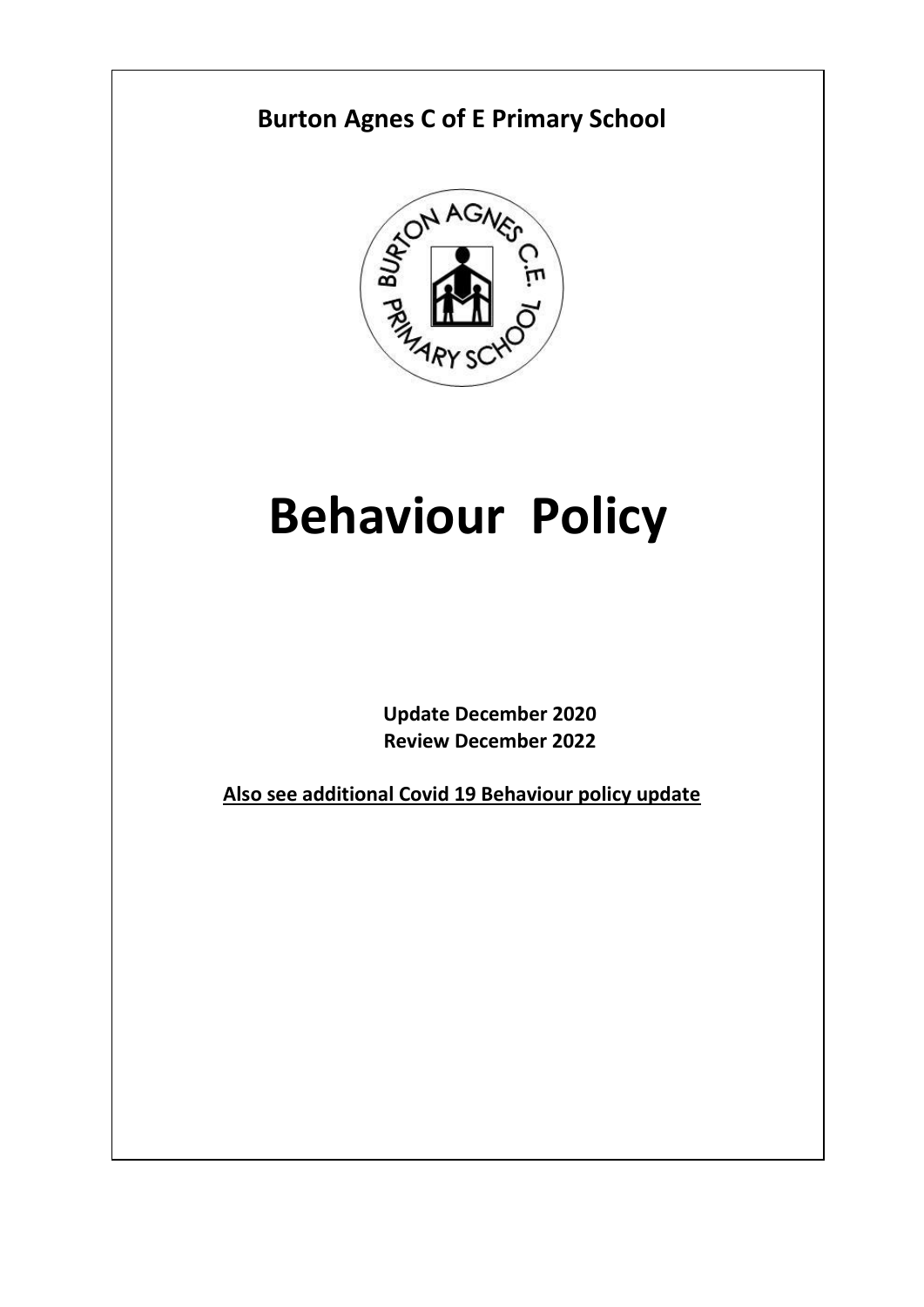

# **Behaviour Policy**

**Update December 2020 Review December 2022**

**Also see additional Covid 19 Behaviour policy update**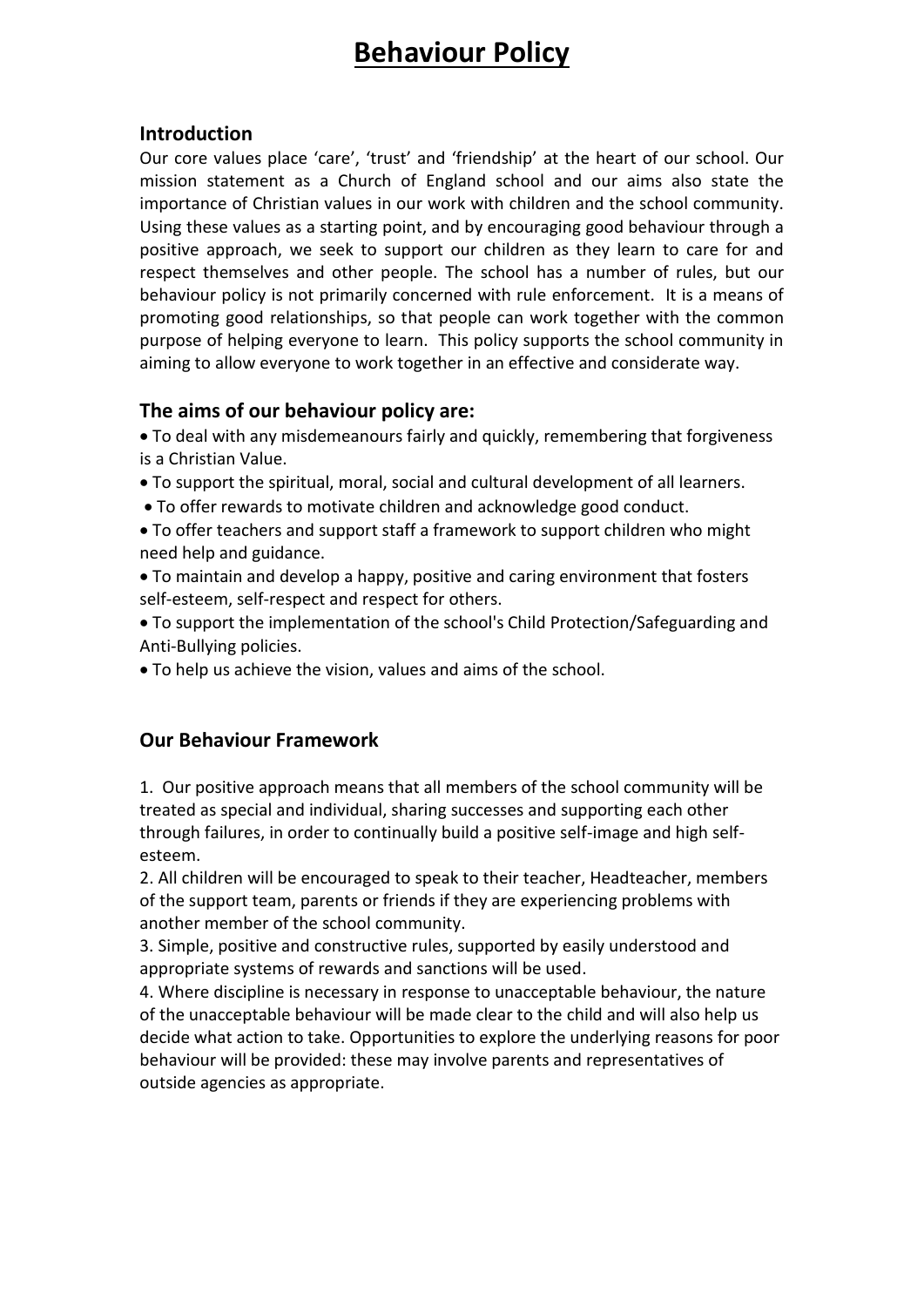## **Behaviour Policy**

#### **Introduction**

Our core values place 'care', 'trust' and 'friendship' at the heart of our school. Our mission statement as a Church of England school and our aims also state the importance of Christian values in our work with children and the school community. Using these values as a starting point, and by encouraging good behaviour through a positive approach, we seek to support our children as they learn to care for and respect themselves and other people. The school has a number of rules, but our behaviour policy is not primarily concerned with rule enforcement. It is a means of promoting good relationships, so that people can work together with the common purpose of helping everyone to learn. This policy supports the school community in aiming to allow everyone to work together in an effective and considerate way.

#### **The aims of our behaviour policy are:**

 To deal with any misdemeanours fairly and quickly, remembering that forgiveness is a Christian Value.

- To support the spiritual, moral, social and cultural development of all learners.
- To offer rewards to motivate children and acknowledge good conduct.
- To offer teachers and support staff a framework to support children who might need help and guidance.
- To maintain and develop a happy, positive and caring environment that fosters self-esteem, self-respect and respect for others.
- To support the implementation of the school's Child Protection/Safeguarding and Anti-Bullying policies.
- To help us achieve the vision, values and aims of the school.

#### **Our Behaviour Framework**

1. Our positive approach means that all members of the school community will be treated as special and individual, sharing successes and supporting each other through failures, in order to continually build a positive self-image and high selfesteem.

2. All children will be encouraged to speak to their teacher, Headteacher, members of the support team, parents or friends if they are experiencing problems with another member of the school community.

3. Simple, positive and constructive rules, supported by easily understood and appropriate systems of rewards and sanctions will be used.

4. Where discipline is necessary in response to unacceptable behaviour, the nature of the unacceptable behaviour will be made clear to the child and will also help us decide what action to take. Opportunities to explore the underlying reasons for poor behaviour will be provided: these may involve parents and representatives of outside agencies as appropriate.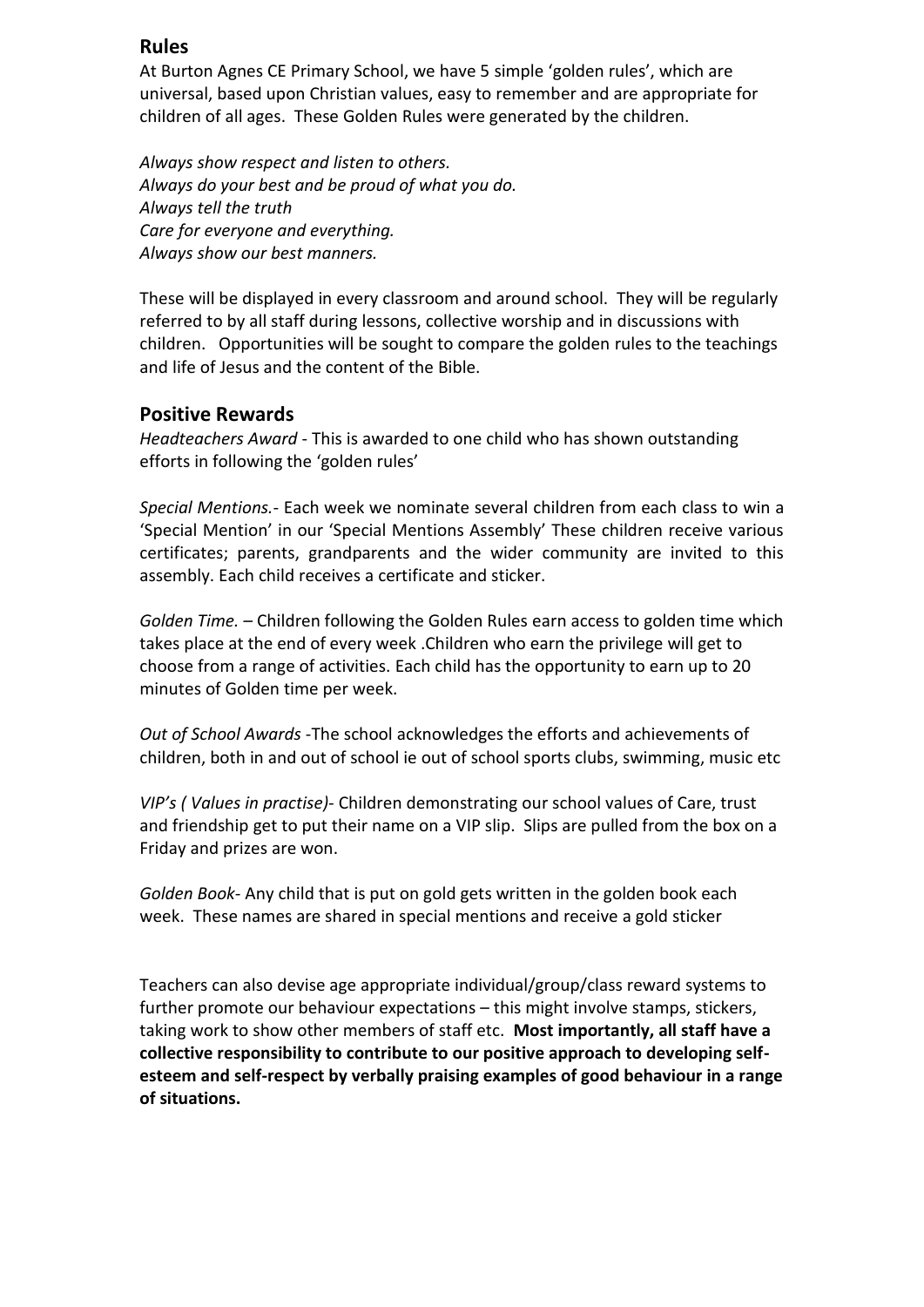#### **Rules**

At Burton Agnes CE Primary School, we have 5 simple 'golden rules', which are universal, based upon Christian values, easy to remember and are appropriate for children of all ages. These Golden Rules were generated by the children.

*Always show respect and listen to others. Always do your best and be proud of what you do. Always tell the truth Care for everyone and everything. Always show our best manners.*

These will be displayed in every classroom and around school. They will be regularly referred to by all staff during lessons, collective worship and in discussions with children. Opportunities will be sought to compare the golden rules to the teachings and life of Jesus and the content of the Bible.

#### **Positive Rewards**

*Headteachers Award* - This is awarded to one child who has shown outstanding efforts in following the 'golden rules'

*Special Mentions.-* Each week we nominate several children from each class to win a 'Special Mention' in our 'Special Mentions Assembly' These children receive various certificates; parents, grandparents and the wider community are invited to this assembly. Each child receives a certificate and sticker.

*Golden Time. –* Children following the Golden Rules earn access to golden time which takes place at the end of every week .Children who earn the privilege will get to choose from a range of activities. Each child has the opportunity to earn up to 20 minutes of Golden time per week.

*Out of School Awards* -The school acknowledges the efforts and achievements of children, both in and out of school ie out of school sports clubs, swimming, music etc

*VIP's ( Values in practise)-* Children demonstrating our school values of Care, trust and friendship get to put their name on a VIP slip. Slips are pulled from the box on a Friday and prizes are won.

*Golden Book-* Any child that is put on gold gets written in the golden book each week. These names are shared in special mentions and receive a gold sticker

Teachers can also devise age appropriate individual/group/class reward systems to further promote our behaviour expectations – this might involve stamps, stickers, taking work to show other members of staff etc. **Most importantly, all staff have a collective responsibility to contribute to our positive approach to developing selfesteem and self-respect by verbally praising examples of good behaviour in a range of situations.**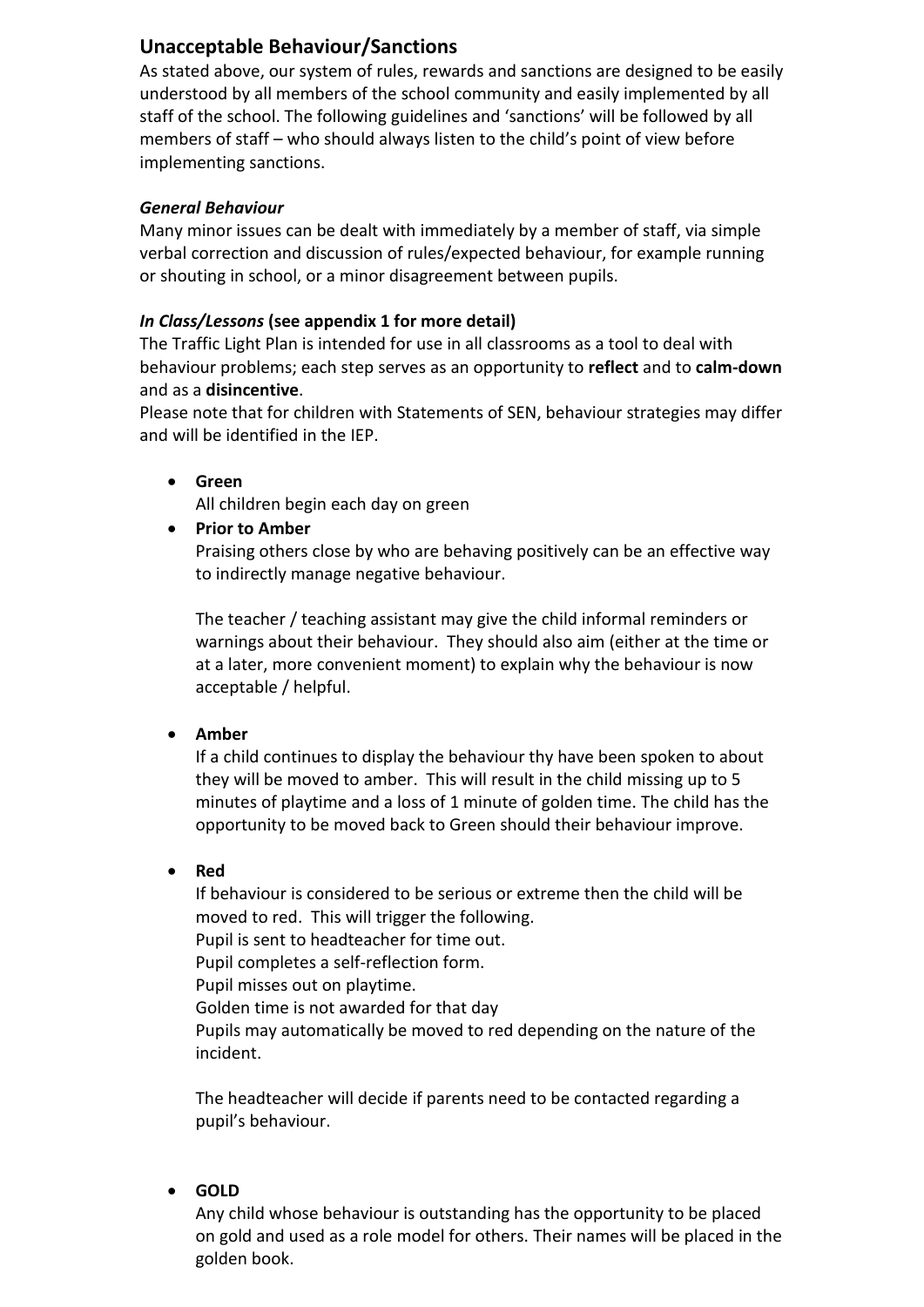#### **Unacceptable Behaviour/Sanctions**

As stated above, our system of rules, rewards and sanctions are designed to be easily understood by all members of the school community and easily implemented by all staff of the school. The following guidelines and 'sanctions' will be followed by all members of staff – who should always listen to the child's point of view before implementing sanctions.

#### *General Behaviour*

Many minor issues can be dealt with immediately by a member of staff, via simple verbal correction and discussion of rules/expected behaviour, for example running or shouting in school, or a minor disagreement between pupils.

#### *In Class/Lessons* **(see appendix 1 for more detail)**

The Traffic Light Plan is intended for use in all classrooms as a tool to deal with behaviour problems; each step serves as an opportunity to **reflect** and to **calm-down** and as a **disincentive**.

Please note that for children with Statements of SEN, behaviour strategies may differ and will be identified in the IEP.

**Green**

All children begin each day on green

**Prior to Amber**

Praising others close by who are behaving positively can be an effective way to indirectly manage negative behaviour.

The teacher / teaching assistant may give the child informal reminders or warnings about their behaviour. They should also aim (either at the time or at a later, more convenient moment) to explain why the behaviour is now acceptable / helpful.

#### **Amber**

If a child continues to display the behaviour thy have been spoken to about they will be moved to amber. This will result in the child missing up to 5 minutes of playtime and a loss of 1 minute of golden time. The child has the opportunity to be moved back to Green should their behaviour improve.

**Red**

If behaviour is considered to be serious or extreme then the child will be moved to red. This will trigger the following. Pupil is sent to headteacher for time out.

Pupil completes a self-reflection form.

Pupil misses out on playtime.

Golden time is not awarded for that day

Pupils may automatically be moved to red depending on the nature of the incident.

The headteacher will decide if parents need to be contacted regarding a pupil's behaviour.

**GOLD**

Any child whose behaviour is outstanding has the opportunity to be placed on gold and used as a role model for others. Their names will be placed in the golden book.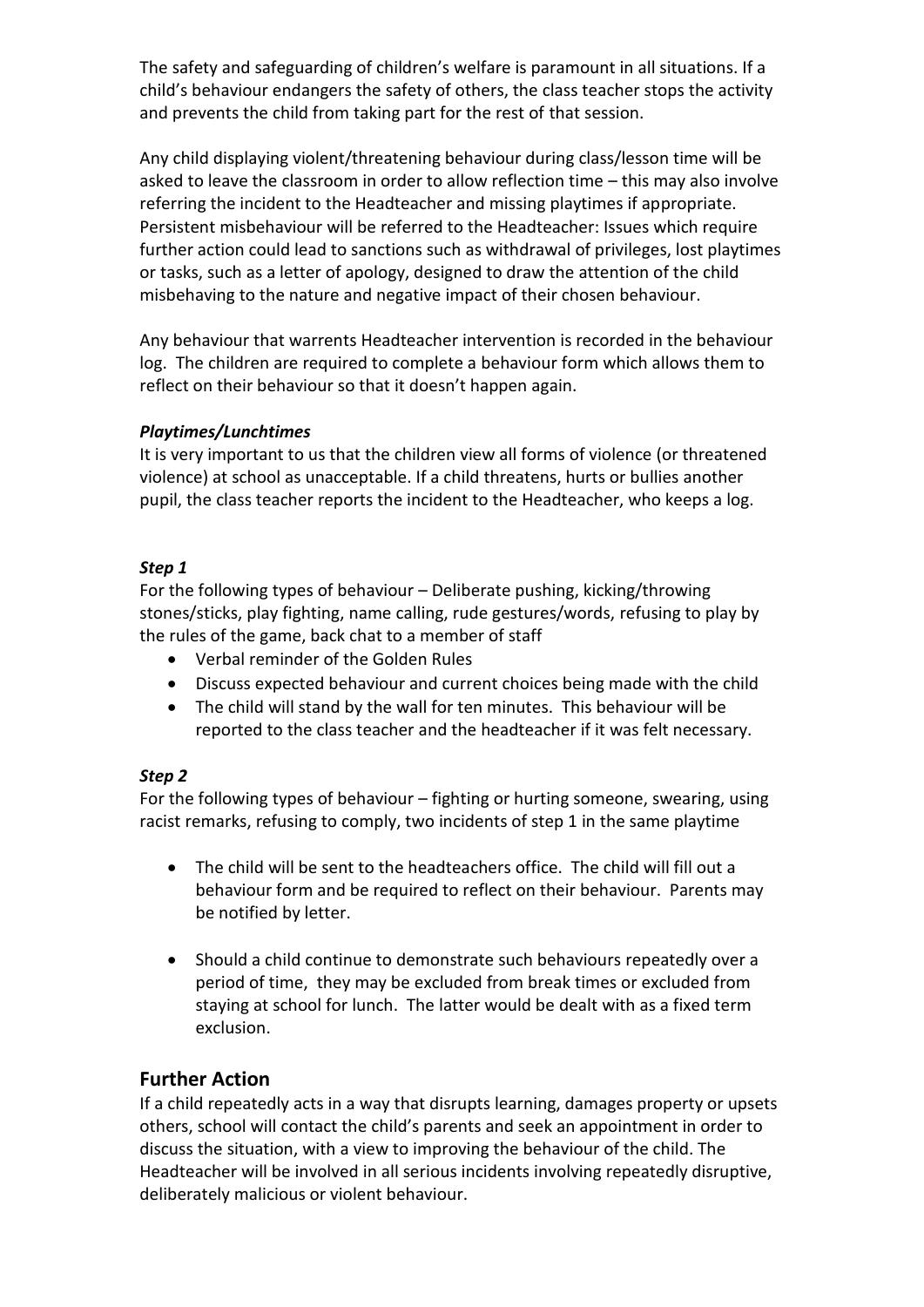The safety and safeguarding of children's welfare is paramount in all situations. If a child's behaviour endangers the safety of others, the class teacher stops the activity and prevents the child from taking part for the rest of that session.

Any child displaying violent/threatening behaviour during class/lesson time will be asked to leave the classroom in order to allow reflection time – this may also involve referring the incident to the Headteacher and missing playtimes if appropriate. Persistent misbehaviour will be referred to the Headteacher: Issues which require further action could lead to sanctions such as withdrawal of privileges, lost playtimes or tasks, such as a letter of apology, designed to draw the attention of the child misbehaving to the nature and negative impact of their chosen behaviour.

Any behaviour that warrents Headteacher intervention is recorded in the behaviour log. The children are required to complete a behaviour form which allows them to reflect on their behaviour so that it doesn't happen again.

#### *Playtimes/Lunchtimes*

It is very important to us that the children view all forms of violence (or threatened violence) at school as unacceptable. If a child threatens, hurts or bullies another pupil, the class teacher reports the incident to the Headteacher, who keeps a log.

#### *Step 1*

For the following types of behaviour – Deliberate pushing, kicking/throwing stones/sticks, play fighting, name calling, rude gestures/words, refusing to play by the rules of the game, back chat to a member of staff

- Verbal reminder of the Golden Rules
- Discuss expected behaviour and current choices being made with the child
- The child will stand by the wall for ten minutes. This behaviour will be reported to the class teacher and the headteacher if it was felt necessary.

#### *Step 2*

For the following types of behaviour – fighting or hurting someone, swearing, using racist remarks, refusing to comply, two incidents of step 1 in the same playtime

- The child will be sent to the headteachers office. The child will fill out a behaviour form and be required to reflect on their behaviour. Parents may be notified by letter.
- Should a child continue to demonstrate such behaviours repeatedly over a period of time, they may be excluded from break times or excluded from staying at school for lunch. The latter would be dealt with as a fixed term exclusion.

#### **Further Action**

If a child repeatedly acts in a way that disrupts learning, damages property or upsets others, school will contact the child's parents and seek an appointment in order to discuss the situation, with a view to improving the behaviour of the child. The Headteacher will be involved in all serious incidents involving repeatedly disruptive, deliberately malicious or violent behaviour.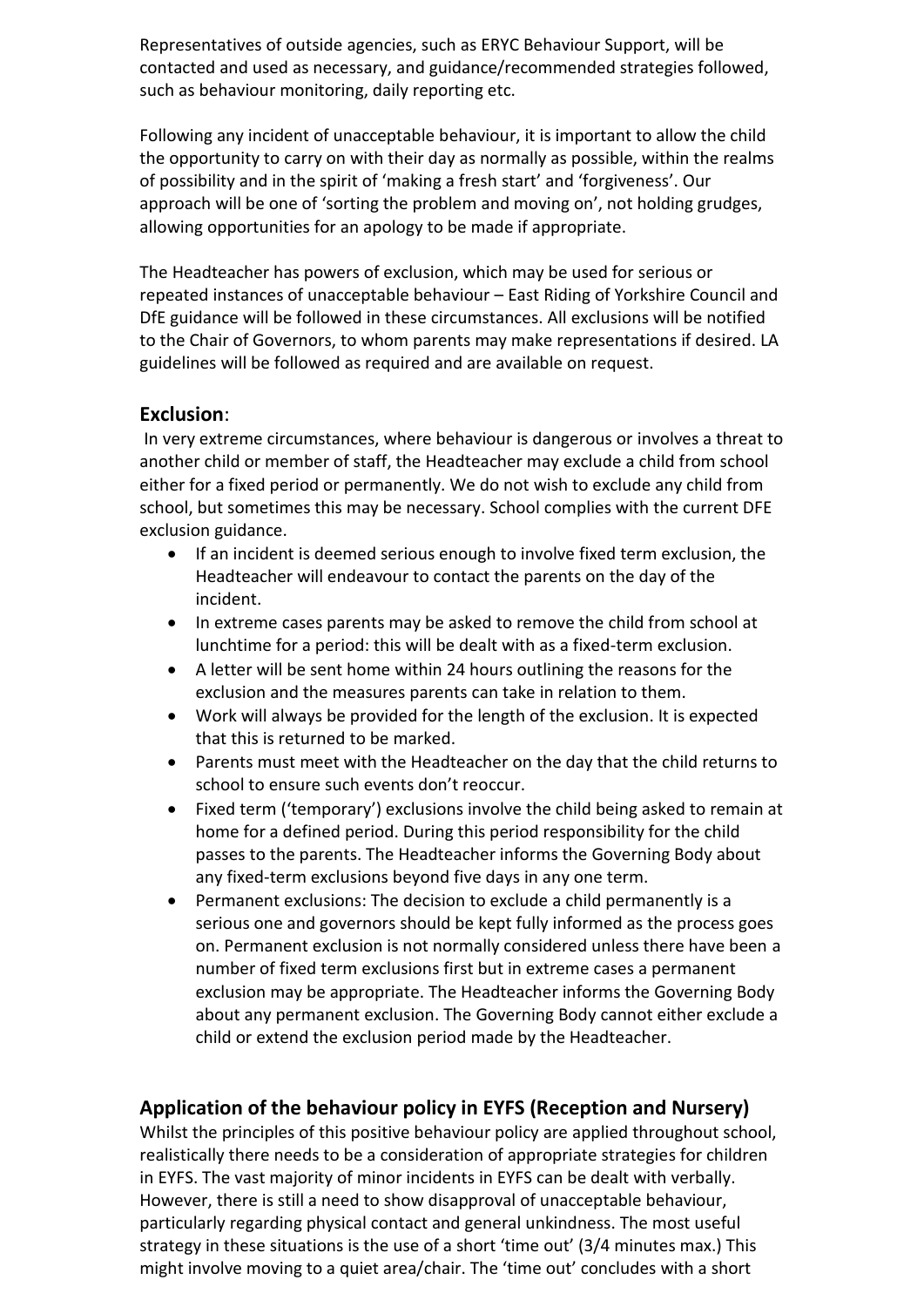Representatives of outside agencies, such as ERYC Behaviour Support, will be contacted and used as necessary, and guidance/recommended strategies followed, such as behaviour monitoring, daily reporting etc.

Following any incident of unacceptable behaviour, it is important to allow the child the opportunity to carry on with their day as normally as possible, within the realms of possibility and in the spirit of 'making a fresh start' and 'forgiveness'. Our approach will be one of 'sorting the problem and moving on', not holding grudges, allowing opportunities for an apology to be made if appropriate.

The Headteacher has powers of exclusion, which may be used for serious or repeated instances of unacceptable behaviour – East Riding of Yorkshire Council and DfE guidance will be followed in these circumstances. All exclusions will be notified to the Chair of Governors, to whom parents may make representations if desired. LA guidelines will be followed as required and are available on request.

#### **Exclusion**:

In very extreme circumstances, where behaviour is dangerous or involves a threat to another child or member of staff, the Headteacher may exclude a child from school either for a fixed period or permanently. We do not wish to exclude any child from school, but sometimes this may be necessary. School complies with the current DFE exclusion guidance.

- If an incident is deemed serious enough to involve fixed term exclusion, the Headteacher will endeavour to contact the parents on the day of the incident.
- In extreme cases parents may be asked to remove the child from school at lunchtime for a period: this will be dealt with as a fixed-term exclusion.
- A letter will be sent home within 24 hours outlining the reasons for the exclusion and the measures parents can take in relation to them.
- Work will always be provided for the length of the exclusion. It is expected that this is returned to be marked.
- Parents must meet with the Headteacher on the day that the child returns to school to ensure such events don't reoccur.
- Fixed term ('temporary') exclusions involve the child being asked to remain at home for a defined period. During this period responsibility for the child passes to the parents. The Headteacher informs the Governing Body about any fixed-term exclusions beyond five days in any one term.
- Permanent exclusions: The decision to exclude a child permanently is a serious one and governors should be kept fully informed as the process goes on. Permanent exclusion is not normally considered unless there have been a number of fixed term exclusions first but in extreme cases a permanent exclusion may be appropriate. The Headteacher informs the Governing Body about any permanent exclusion. The Governing Body cannot either exclude a child or extend the exclusion period made by the Headteacher.

#### **Application of the behaviour policy in EYFS (Reception and Nursery)**

Whilst the principles of this positive behaviour policy are applied throughout school, realistically there needs to be a consideration of appropriate strategies for children in EYFS. The vast majority of minor incidents in EYFS can be dealt with verbally. However, there is still a need to show disapproval of unacceptable behaviour, particularly regarding physical contact and general unkindness. The most useful strategy in these situations is the use of a short 'time out' (3/4 minutes max.) This might involve moving to a quiet area/chair. The 'time out' concludes with a short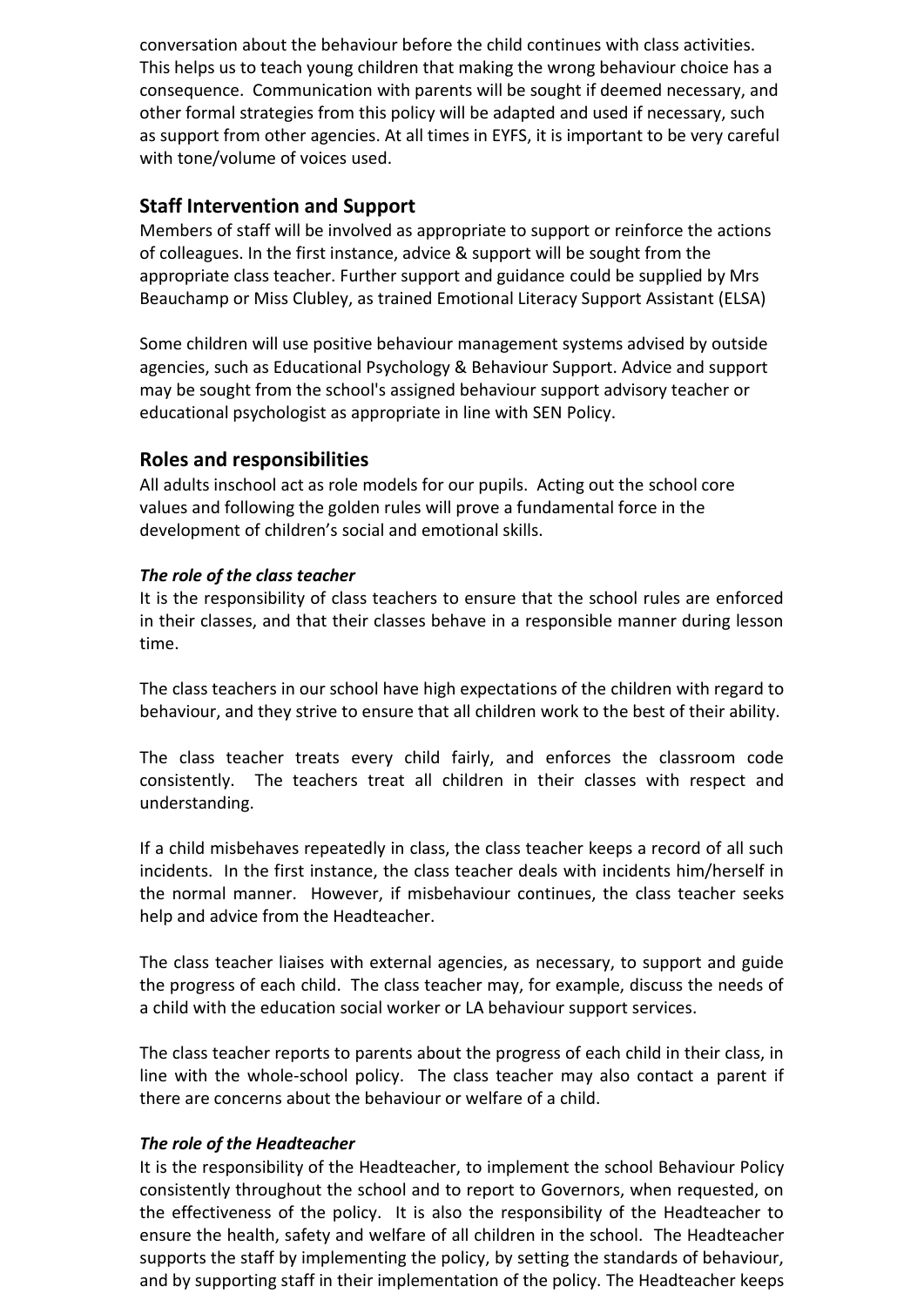conversation about the behaviour before the child continues with class activities. This helps us to teach young children that making the wrong behaviour choice has a consequence. Communication with parents will be sought if deemed necessary, and other formal strategies from this policy will be adapted and used if necessary, such as support from other agencies. At all times in EYFS, it is important to be very careful with tone/volume of voices used.

#### **Staff Intervention and Support**

Members of staff will be involved as appropriate to support or reinforce the actions of colleagues. In the first instance, advice & support will be sought from the appropriate class teacher. Further support and guidance could be supplied by Mrs Beauchamp or Miss Clubley, as trained Emotional Literacy Support Assistant (ELSA)

Some children will use positive behaviour management systems advised by outside agencies, such as Educational Psychology & Behaviour Support. Advice and support may be sought from the school's assigned behaviour support advisory teacher or educational psychologist as appropriate in line with SEN Policy.

#### **Roles and responsibilities**

All adults inschool act as role models for our pupils. Acting out the school core values and following the golden rules will prove a fundamental force in the development of children's social and emotional skills.

#### *The role of the class teacher*

It is the responsibility of class teachers to ensure that the school rules are enforced in their classes, and that their classes behave in a responsible manner during lesson time.

The class teachers in our school have high expectations of the children with regard to behaviour, and they strive to ensure that all children work to the best of their ability.

The class teacher treats every child fairly, and enforces the classroom code consistently. The teachers treat all children in their classes with respect and understanding.

If a child misbehaves repeatedly in class, the class teacher keeps a record of all such incidents. In the first instance, the class teacher deals with incidents him/herself in the normal manner. However, if misbehaviour continues, the class teacher seeks help and advice from the Headteacher.

The class teacher liaises with external agencies, as necessary, to support and guide the progress of each child. The class teacher may, for example, discuss the needs of a child with the education social worker or LA behaviour support services.

The class teacher reports to parents about the progress of each child in their class, in line with the whole-school policy. The class teacher may also contact a parent if there are concerns about the behaviour or welfare of a child.

#### *The role of the Headteacher*

It is the responsibility of the Headteacher, to implement the school Behaviour Policy consistently throughout the school and to report to Governors, when requested, on the effectiveness of the policy. It is also the responsibility of the Headteacher to ensure the health, safety and welfare of all children in the school. The Headteacher supports the staff by implementing the policy, by setting the standards of behaviour, and by supporting staff in their implementation of the policy. The Headteacher keeps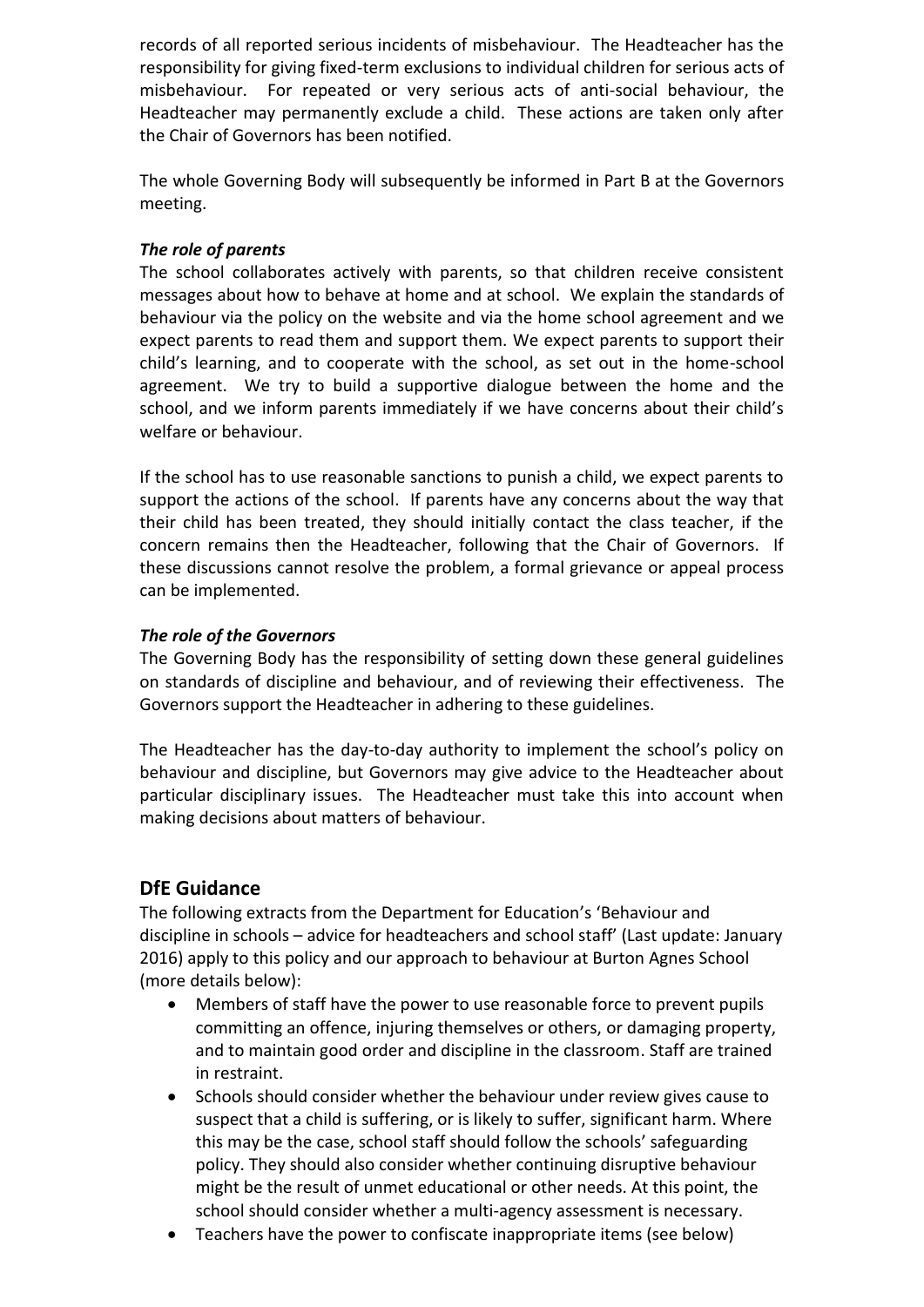records of all reported serious incidents of misbehaviour. The Headteacher has the responsibility for giving fixed-term exclusions to individual children for serious acts of misbehaviour. For repeated or very serious acts of anti-social behaviour, the Headteacher may permanently exclude a child. These actions are taken only after the Chair of Governors has been notified.

The whole Governing Body will subsequently be informed in Part B at the Governors meeting.

#### *The role of parents*

The school collaborates actively with parents, so that children receive consistent messages about how to behave at home and at school. We explain the standards of behaviour via the policy on the website and via the home school agreement and we expect parents to read them and support them. We expect parents to support their child's learning, and to cooperate with the school, as set out in the home-school agreement. We try to build a supportive dialogue between the home and the school, and we inform parents immediately if we have concerns about their child's welfare or behaviour.

If the school has to use reasonable sanctions to punish a child, we expect parents to support the actions of the school. If parents have any concerns about the way that their child has been treated, they should initially contact the class teacher, if the concern remains then the Headteacher, following that the Chair of Governors. If these discussions cannot resolve the problem, a formal grievance or appeal process can be implemented.

#### *The role of the Governors*

The Governing Body has the responsibility of setting down these general guidelines on standards of discipline and behaviour, and of reviewing their effectiveness. The Governors support the Headteacher in adhering to these guidelines.

The Headteacher has the day-to-day authority to implement the school's policy on behaviour and discipline, but Governors may give advice to the Headteacher about particular disciplinary issues. The Headteacher must take this into account when making decisions about matters of behaviour.

#### **DfE Guidance**

The following extracts from the Department for Education's 'Behaviour and discipline in schools – advice for headteachers and school staff' (Last update: January 2016) apply to this policy and our approach to behaviour at Burton Agnes School (more details below):

- Members of staff have the power to use reasonable force to prevent pupils committing an offence, injuring themselves or others, or damaging property, and to maintain good order and discipline in the classroom. Staff are trained in restraint.
- Schools should consider whether the behaviour under review gives cause to suspect that a child is suffering, or is likely to suffer, significant harm. Where this may be the case, school staff should follow the schools' safeguarding policy. They should also consider whether continuing disruptive behaviour might be the result of unmet educational or other needs. At this point, the school should consider whether a multi-agency assessment is necessary.
- Teachers have the power to confiscate inappropriate items (see below)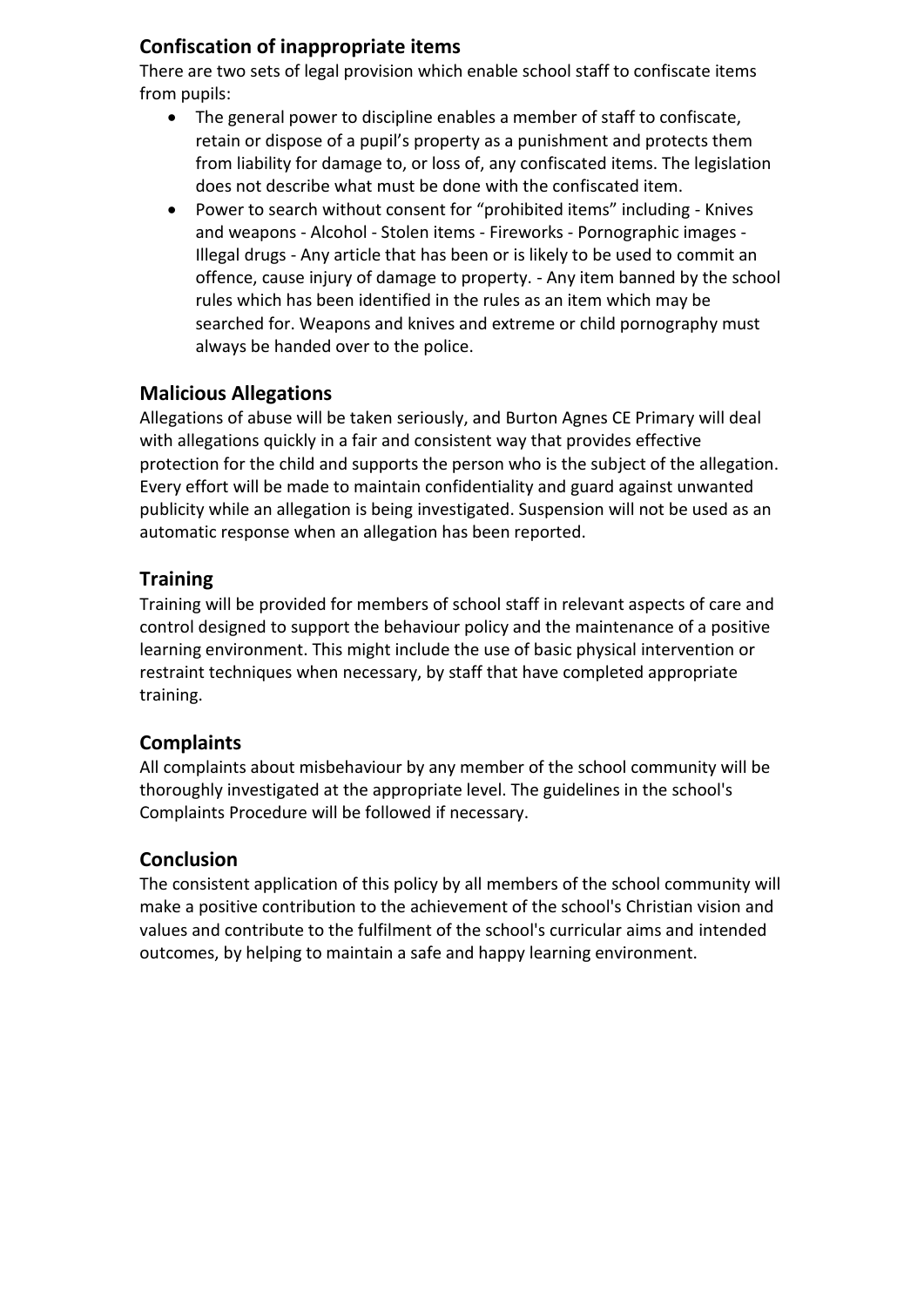#### **Confiscation of inappropriate items**

There are two sets of legal provision which enable school staff to confiscate items from pupils:

- The general power to discipline enables a member of staff to confiscate, retain or dispose of a pupil's property as a punishment and protects them from liability for damage to, or loss of, any confiscated items. The legislation does not describe what must be done with the confiscated item.
- Power to search without consent for "prohibited items" including Knives and weapons - Alcohol - Stolen items - Fireworks - Pornographic images - Illegal drugs - Any article that has been or is likely to be used to commit an offence, cause injury of damage to property. - Any item banned by the school rules which has been identified in the rules as an item which may be searched for. Weapons and knives and extreme or child pornography must always be handed over to the police.

### **Malicious Allegations**

Allegations of abuse will be taken seriously, and Burton Agnes CE Primary will deal with allegations quickly in a fair and consistent way that provides effective protection for the child and supports the person who is the subject of the allegation. Every effort will be made to maintain confidentiality and guard against unwanted publicity while an allegation is being investigated. Suspension will not be used as an automatic response when an allegation has been reported.

#### **Training**

Training will be provided for members of school staff in relevant aspects of care and control designed to support the behaviour policy and the maintenance of a positive learning environment. This might include the use of basic physical intervention or restraint techniques when necessary, by staff that have completed appropriate training.

#### **Complaints**

All complaints about misbehaviour by any member of the school community will be thoroughly investigated at the appropriate level. The guidelines in the school's Complaints Procedure will be followed if necessary.

#### **Conclusion**

The consistent application of this policy by all members of the school community will make a positive contribution to the achievement of the school's Christian vision and values and contribute to the fulfilment of the school's curricular aims and intended outcomes, by helping to maintain a safe and happy learning environment.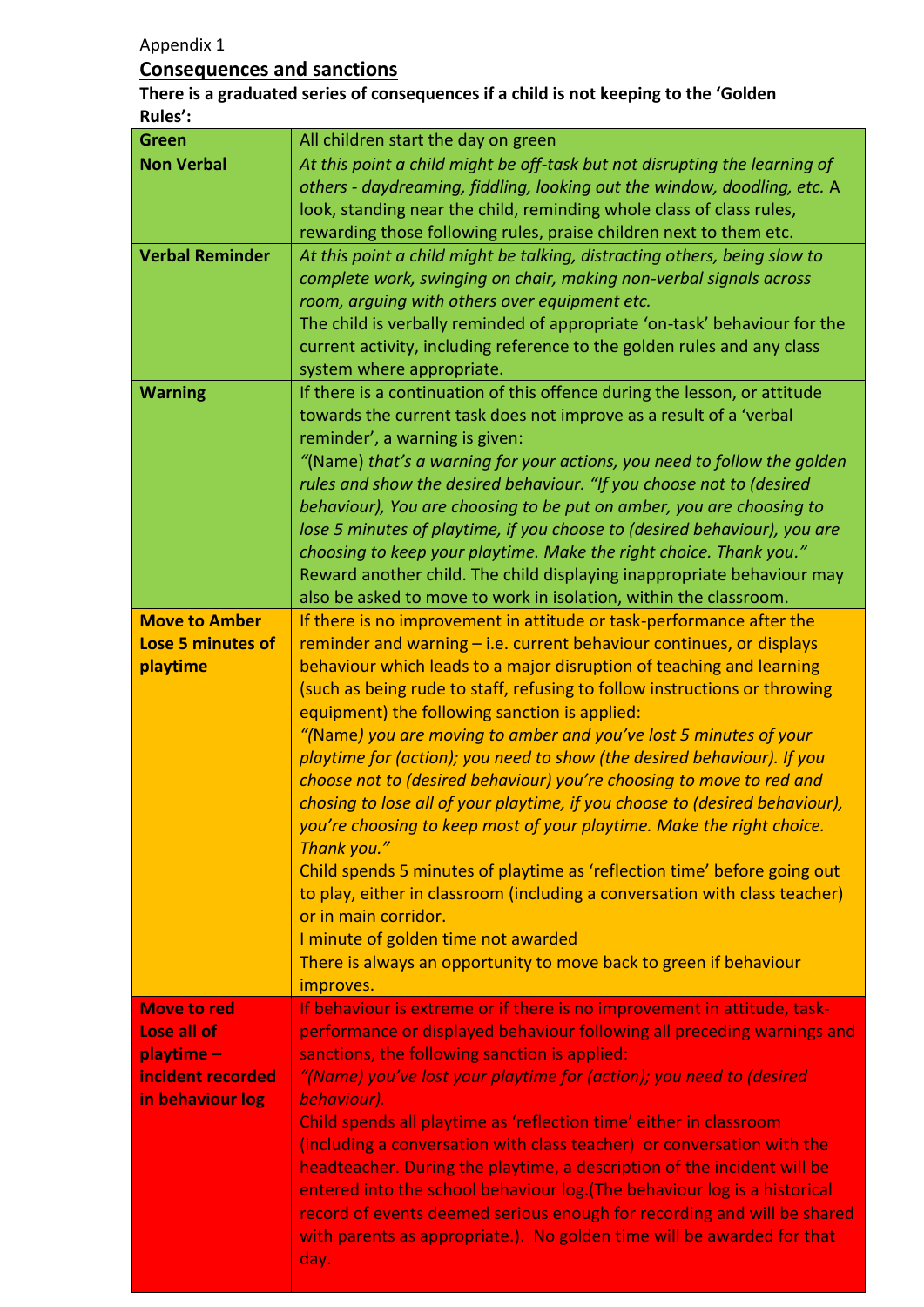Appendix 1

#### **Consequences and sanctions**

.

**There is a graduated series of consequences if a child is not keeping to the 'Golden Rules':**

| <b>Green</b>             | All children start the day on green                                                                                                                 |
|--------------------------|-----------------------------------------------------------------------------------------------------------------------------------------------------|
| <b>Non Verbal</b>        | At this point a child might be off-task but not disrupting the learning of                                                                          |
|                          | others - daydreaming, fiddling, looking out the window, doodling, etc. A                                                                            |
|                          | look, standing near the child, reminding whole class of class rules,                                                                                |
|                          | rewarding those following rules, praise children next to them etc.                                                                                  |
| <b>Verbal Reminder</b>   | At this point a child might be talking, distracting others, being slow to                                                                           |
|                          | complete work, swinging on chair, making non-verbal signals across                                                                                  |
|                          | room, arguing with others over equipment etc.                                                                                                       |
|                          | The child is verbally reminded of appropriate 'on-task' behaviour for the                                                                           |
|                          | current activity, including reference to the golden rules and any class                                                                             |
|                          | system where appropriate.                                                                                                                           |
| <b>Warning</b>           | If there is a continuation of this offence during the lesson, or attitude<br>towards the current task does not improve as a result of a 'verbal     |
|                          | reminder', a warning is given:                                                                                                                      |
|                          | "(Name) that's a warning for your actions, you need to follow the golden                                                                            |
|                          | rules and show the desired behaviour. "If you choose not to (desired                                                                                |
|                          | behaviour), You are choosing to be put on amber, you are choosing to                                                                                |
|                          | lose 5 minutes of playtime, if you choose to (desired behaviour), you are                                                                           |
|                          | choosing to keep your playtime. Make the right choice. Thank you."                                                                                  |
|                          | Reward another child. The child displaying inappropriate behaviour may                                                                              |
|                          | also be asked to move to work in isolation, within the classroom.                                                                                   |
| <b>Move to Amber</b>     | If there is no improvement in attitude or task-performance after the                                                                                |
| <b>Lose 5 minutes of</b> | reminder and warning $-$ i.e. current behaviour continues, or displays                                                                              |
| playtime                 | behaviour which leads to a major disruption of teaching and learning                                                                                |
|                          | (such as being rude to staff, refusing to follow instructions or throwing                                                                           |
|                          | equipment) the following sanction is applied:                                                                                                       |
|                          | "(Name) you are moving to amber and you've lost 5 minutes of your                                                                                   |
|                          | playtime for (action); you need to show (the desired behaviour). If you                                                                             |
|                          | choose not to (desired behaviour) you're choosing to move to red and<br>chosing to lose all of your playtime, if you choose to (desired behaviour), |
|                          | you're choosing to keep most of your playtime. Make the right choice.                                                                               |
|                          | Thank you."                                                                                                                                         |
|                          | Child spends 5 minutes of playtime as 'reflection time' before going out                                                                            |
|                          | to play, either in classroom (including a conversation with class teacher)                                                                          |
|                          | or in main corridor.                                                                                                                                |
|                          | I minute of golden time not awarded                                                                                                                 |
|                          | There is always an opportunity to move back to green if behaviour                                                                                   |
|                          | improves.                                                                                                                                           |
| <b>Move to red</b>       | If behaviour is extreme or if there is no improvement in attitude, task-                                                                            |
| Lose all of              | performance or displayed behaviour following all preceding warnings and                                                                             |
| playtime-                | sanctions, the following sanction is applied:                                                                                                       |
| incident recorded        | "(Name) you've lost your playtime for (action); you need to (desired                                                                                |
| in behaviour log         | behaviour).                                                                                                                                         |
|                          | Child spends all playtime as 'reflection time' either in classroom                                                                                  |
|                          | (including a conversation with class teacher) or conversation with the<br>headteacher. During the playtime, a description of the incident will be   |
|                          | entered into the school behaviour log. (The behaviour log is a historical                                                                           |
|                          | record of events deemed serious enough for recording and will be shared                                                                             |
|                          | with parents as appropriate.). No golden time will be awarded for that                                                                              |
|                          | day.                                                                                                                                                |